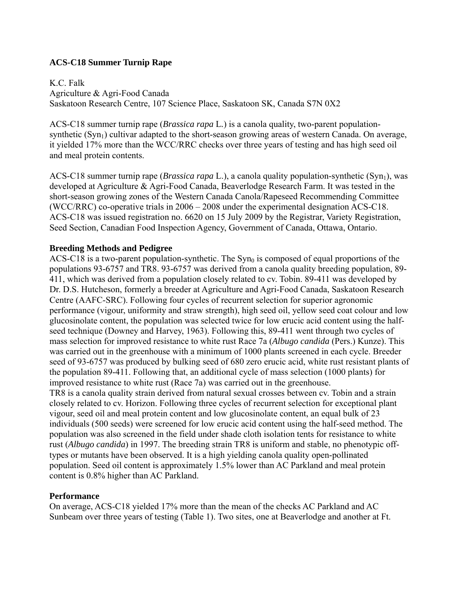# **ACS-C18 Summer Turnip Rape**

K.C. Falk Agriculture & Agri-Food Canada Saskatoon Research Centre, 107 Science Place, Saskatoon SK, Canada S7N 0X2

ACS-C18 summer turnip rape (*Brassica rapa* L*.*) is a canola quality, two-parent populationsynthetic  $(Syn_1)$  cultivar adapted to the short-season growing areas of western Canada. On average, it yielded 17% more than the WCC/RRC checks over three years of testing and has high seed oil and meal protein contents.

ACS-C18 summer turnip rape (*Brassica rapa* L.), a canola quality population-synthetic (Syn<sub>1</sub>), was developed at Agriculture & Agri-Food Canada, Beaverlodge Research Farm. It was tested in the short-season growing zones of the Western Canada Canola/Rapeseed Recommending Committee (WCC/RRC) co-operative trials in 2006 – 2008 under the experimental designation ACS-C18. ACS-C18 was issued registration no. 6620 on 15 July 2009 by the Registrar, Variety Registration, Seed Section, Canadian Food Inspection Agency, Government of Canada, Ottawa, Ontario.

## **Breeding Methods and Pedigree**

ACS-C18 is a two-parent population-synthetic. The  $Syn_0$  is composed of equal proportions of the populations 93-6757 and TR8. 93-6757 was derived from a canola quality breeding population, 89- 411, which was derived from a population closely related to cv. Tobin. 89-411 was developed by Dr. D.S. Hutcheson, formerly a breeder at Agriculture and Agri-Food Canada, Saskatoon Research Centre (AAFC-SRC). Following four cycles of recurrent selection for superior agronomic performance (vigour, uniformity and straw strength), high seed oil, yellow seed coat colour and low glucosinolate content, the population was selected twice for low erucic acid content using the halfseed technique (Downey and Harvey, 1963). Following this, 89-411 went through two cycles of mass selection for improved resistance to white rust Race 7a (*Albugo candida* (Pers.) Kunze). This was carried out in the greenhouse with a minimum of 1000 plants screened in each cycle. Breeder seed of 93-6757 was produced by bulking seed of 680 zero erucic acid, white rust resistant plants of the population 89-411. Following that, an additional cycle of mass selection (1000 plants) for improved resistance to white rust (Race 7a) was carried out in the greenhouse. TR8 is a canola quality strain derived from natural sexual crosses between cv. Tobin and a strain closely related to cv. Horizon. Following three cycles of recurrent selection for exceptional plant vigour, seed oil and meal protein content and low glucosinolate content, an equal bulk of 23 individuals (500 seeds) were screened for low erucic acid content using the half-seed method. The population was also screened in the field under shade cloth isolation tents for resistance to white rust (*Albugo candida*) in 1997. The breeding strain TR8 is uniform and stable, no phenotypic offtypes or mutants have been observed. It is a high yielding canola quality open-pollinated population. Seed oil content is approximately 1.5% lower than AC Parkland and meal protein content is 0.8% higher than AC Parkland.

# **Performance**

On average, ACS-C18 yielded 17% more than the mean of the checks AC Parkland and AC Sunbeam over three years of testing (Table 1). Two sites, one at Beaverlodge and another at Ft.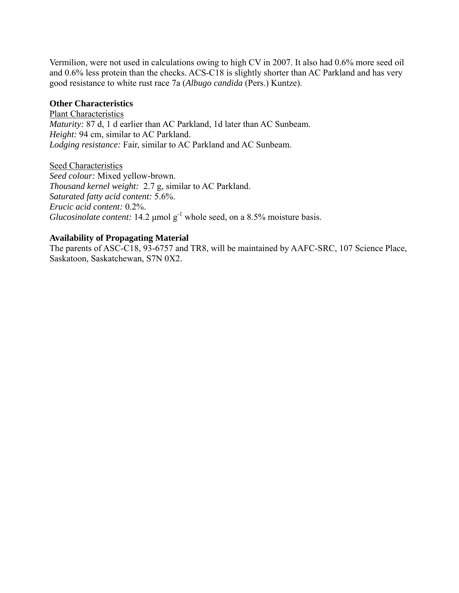Vermilion, were not used in calculations owing to high CV in 2007. It also had 0.6% more seed oil and 0.6% less protein than the checks. ACS-C18 is slightly shorter than AC Parkland and has very good resistance to white rust race 7a (*Albugo candida* (Pers.) Kuntze).

## **Other Characteristics**

Plant Characteristics *Maturity:* 87 d, 1 d earlier than AC Parkland, 1d later than AC Sunbeam. *Height:* 94 cm, similar to AC Parkland. *Lodging resistance:* Fair, similar to AC Parkland and AC Sunbeam.

Seed Characteristics *Seed colour:* Mixed yellow-brown. *Thousand kernel weight:* 2.7 g, similar to AC Parkland. *Saturated fatty acid content:* 5.6%. *Erucic acid content:* 0.2%. *Glucosinolate content:* 14.2  $\mu$ mol  $g^{-1}$  whole seed, on a 8.5% moisture basis.

#### **Availability of Propagating Material**

The parents of ASC-C18, 93-6757 and TR8, will be maintained by AAFC-SRC, 107 Science Place, Saskatoon, Saskatchewan, S7N 0X2.